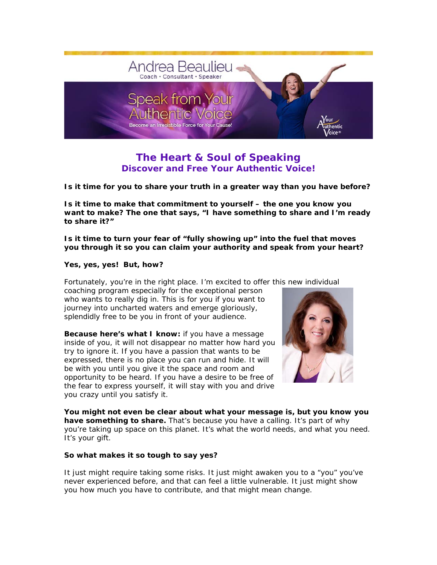

# *The Heart & Soul of Speaking* **Discover and Free Your Authentic Voice!**

**Is it time for you to share your truth in a greater way than you have before?** 

**Is it time to make that commitment to yourself – the one you** *know* **you want to make? The one that says, "I have something to share and I'm ready to share it?"** 

**Is it time to turn your fear of "fully showing up" into the fuel that moves you through it so you can claim your authority and speak from your heart?** 

### **Yes, yes, yes! But, how?**

Fortunately, you're in the right place. I'm excited to offer this new individual

coaching program especially for the exceptional person who wants to really dig in. This is for you if you want to journey into uncharted waters and emerge gloriously, splendidly free to be you in front of your audience.

**Because here's what I know:** if you have a message inside of you, it will not disappear no matter how hard you try to ignore it. If you have a passion that wants to be expressed, there is no place you can run and hide. It will be with you until you give it the space and room and opportunity to be heard. If you have a desire to be free of the fear to express yourself, it will stay with you and drive you crazy until you satisfy it.



**You might not even be clear about what your message is, but you know you have something to share.** That's because you have a calling. It's part of why you're taking up space on this planet. It's what the world needs, and what you need. It's your gift.

## **So what makes it so tough to say yes?**

It just might require taking some risks. It just might awaken you to a "you" you've never experienced before, and that can feel a little vulnerable. It just might show you how much you have to contribute, and that might mean change.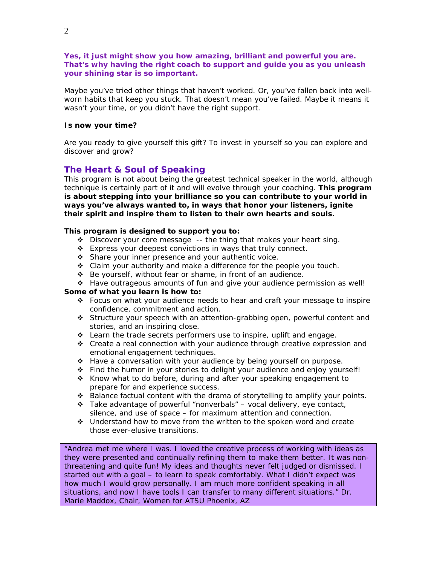**Yes, it just might show you how amazing, brilliant and powerful you are. That's why having the right coach to support and guide you as you unleash your shining star is so important.** 

Maybe you've tried other things that haven't worked. Or, you've fallen back into wellworn habits that keep you stuck. That doesn't mean you've failed. Maybe it means it wasn't your time, or you didn't have the right support.

## **Is now your time?**

Are you ready to give yourself this gift? To invest in yourself so you can explore and discover and grow?

## *The Heart & Soul of Speaking*

This program is not about being the greatest technical speaker in the world, although technique is certainly part of it and will evolve through your coaching. **This program is about stepping into your brilliance so you can contribute to your world in ways you've always wanted to, in ways that honor your listeners, ignite their spirit and inspire them to listen to their own hearts and souls.**

## **This program is designed to support you to:**

- $\bullet$  Discover your core message -- the thing that makes your heart sing.
- Express your deepest convictions in ways that truly connect.
- Share your inner presence and your authentic voice.
- \* Claim your authority and make a difference for the people you touch.
- Be yourself, without fear or shame, in front of an audience.
- Have outrageous amounts of fun and give your audience permission as well!

### **Some of what you learn is how to:**

- Focus on what your audience needs to hear and craft your message to inspire confidence, commitment and action.
- Structure your speech with an attention-grabbing open, powerful content and stories, and an inspiring close.
- Learn the trade secrets performers use to inspire, uplift and engage.
- Create a real connection with your audience through creative expression and emotional engagement techniques.
- \* Have a conversation with your audience by being yourself on purpose.
- Find the humor in your stories to delight your audience and enjoy yourself!
- Know what to do before, during and after your speaking engagement to prepare for and experience success.
- \* Balance factual content with the drama of storytelling to amplify your points.
- Take advantage of powerful "nonverbals" vocal delivery, eye contact, silence, and use of space – for maximum attention and connection.
- Understand how to move from the written to the spoken word and create those ever-elusive transitions.

"Andrea met me where I was. I loved the creative process of working with ideas as they were presented and continually refining them to make them better. It was nonthreatening and quite fun! My ideas and thoughts never felt judged or dismissed. I started out with a goal – to learn to speak comfortably. What I didn't expect was how much I would grow personally. I am much more confident speaking in all situations, and now I have tools I can transfer to many different situations." Dr. Marie Maddox, Chair, Women for ATSU Phoenix, AZ